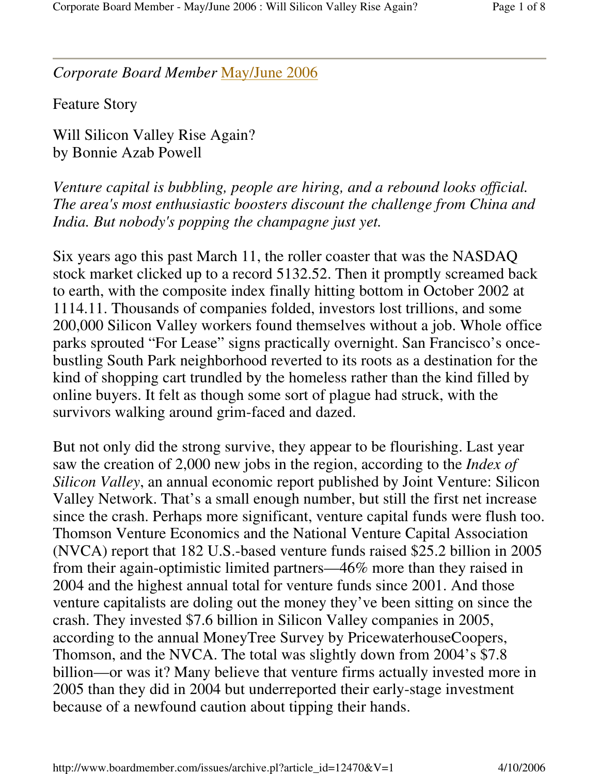*Corporate Board Member* May/June 2006

Feature Story

Will Silicon Valley Rise Again? by Bonnie Azab Powell

*Venture capital is bubbling, people are hiring, and a rebound looks official. The area's most enthusiastic boosters discount the challenge from China and India. But nobody's popping the champagne just yet.*

Six years ago this past March 11, the roller coaster that was the NASDAQ stock market clicked up to a record 5132.52. Then it promptly screamed back to earth, with the composite index finally hitting bottom in October 2002 at 1114.11. Thousands of companies folded, investors lost trillions, and some 200,000 Silicon Valley workers found themselves without a job. Whole office parks sprouted "For Lease" signs practically overnight. San Francisco's oncebustling South Park neighborhood reverted to its roots as a destination for the kind of shopping cart trundled by the homeless rather than the kind filled by online buyers. It felt as though some sort of plague had struck, with the survivors walking around grim-faced and dazed.

But not only did the strong survive, they appear to be flourishing. Last year saw the creation of 2,000 new jobs in the region, according to the *Index of Silicon Valley*, an annual economic report published by Joint Venture: Silicon Valley Network. That's a small enough number, but still the first net increase since the crash. Perhaps more significant, venture capital funds were flush too. Thomson Venture Economics and the National Venture Capital Association (NVCA) report that 182 U.S.-based venture funds raised \$25.2 billion in 2005 from their again-optimistic limited partners—46% more than they raised in 2004 and the highest annual total for venture funds since 2001. And those venture capitalists are doling out the money they've been sitting on since the crash. They invested \$7.6 billion in Silicon Valley companies in 2005, according to the annual MoneyTree Survey by PricewaterhouseCoopers, Thomson, and the NVCA. The total was slightly down from 2004's \$7.8 billion—or was it? Many believe that venture firms actually invested more in 2005 than they did in 2004 but underreported their early-stage investment because of a newfound caution about tipping their hands.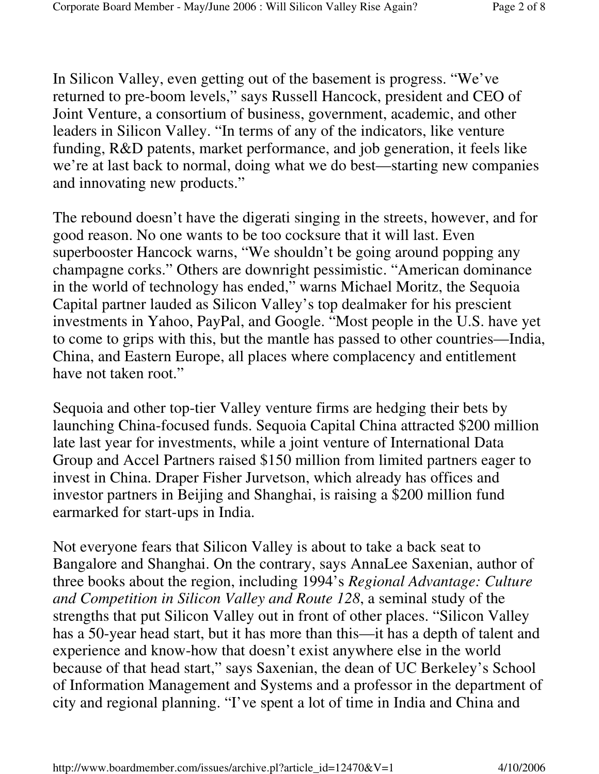In Silicon Valley, even getting out of the basement is progress. "We've returned to pre-boom levels," says Russell Hancock, president and CEO of Joint Venture, a consortium of business, government, academic, and other leaders in Silicon Valley. "In terms of any of the indicators, like venture funding, R&D patents, market performance, and job generation, it feels like we're at last back to normal, doing what we do best—starting new companies and innovating new products."

The rebound doesn't have the digerati singing in the streets, however, and for good reason. No one wants to be too cocksure that it will last. Even superbooster Hancock warns, "We shouldn't be going around popping any champagne corks." Others are downright pessimistic. "American dominance in the world of technology has ended," warns Michael Moritz, the Sequoia Capital partner lauded as Silicon Valley's top dealmaker for his prescient investments in Yahoo, PayPal, and Google. "Most people in the U.S. have yet to come to grips with this, but the mantle has passed to other countries—India, China, and Eastern Europe, all places where complacency and entitlement have not taken root."

Sequoia and other top-tier Valley venture firms are hedging their bets by launching China-focused funds. Sequoia Capital China attracted \$200 million late last year for investments, while a joint venture of International Data Group and Accel Partners raised \$150 million from limited partners eager to invest in China. Draper Fisher Jurvetson, which already has offices and investor partners in Beijing and Shanghai, is raising a \$200 million fund earmarked for start-ups in India.

Not everyone fears that Silicon Valley is about to take a back seat to Bangalore and Shanghai. On the contrary, says AnnaLee Saxenian, author of three books about the region, including 1994's *Regional Advantage: Culture and Competition in Silicon Valley and Route 128*, a seminal study of the strengths that put Silicon Valley out in front of other places. "Silicon Valley has a 50-year head start, but it has more than this—it has a depth of talent and experience and know-how that doesn't exist anywhere else in the world because of that head start," says Saxenian, the dean of UC Berkeley's School of Information Management and Systems and a professor in the department of city and regional planning. "I've spent a lot of time in India and China and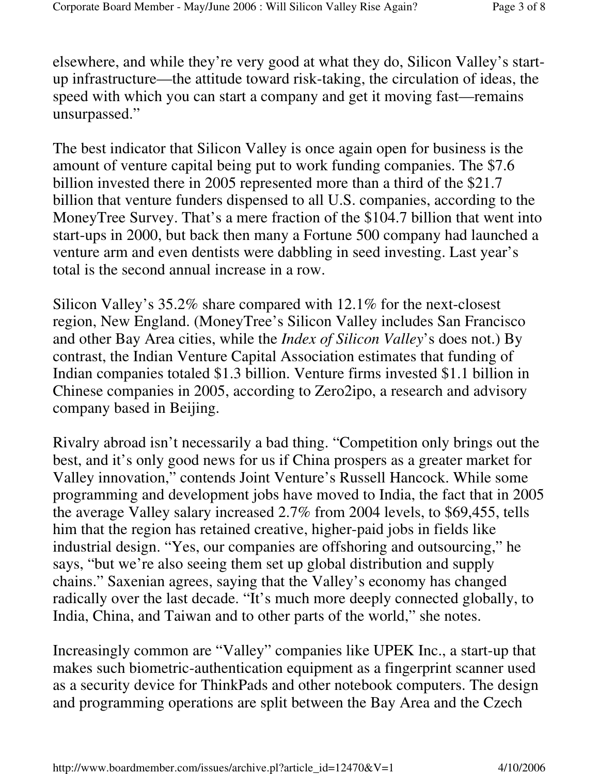elsewhere, and while they're very good at what they do, Silicon Valley's startup infrastructure—the attitude toward risk-taking, the circulation of ideas, the speed with which you can start a company and get it moving fast—remains unsurpassed."

The best indicator that Silicon Valley is once again open for business is the amount of venture capital being put to work funding companies. The \$7.6 billion invested there in 2005 represented more than a third of the \$21.7 billion that venture funders dispensed to all U.S. companies, according to the MoneyTree Survey. That's a mere fraction of the \$104.7 billion that went into start-ups in 2000, but back then many a Fortune 500 company had launched a venture arm and even dentists were dabbling in seed investing. Last year's total is the second annual increase in a row.

Silicon Valley's 35.2% share compared with 12.1% for the next-closest region, New England. (MoneyTree's Silicon Valley includes San Francisco and other Bay Area cities, while the *Index of Silicon Valley*'s does not.) By contrast, the Indian Venture Capital Association estimates that funding of Indian companies totaled \$1.3 billion. Venture firms invested \$1.1 billion in Chinese companies in 2005, according to Zero2ipo, a research and advisory company based in Beijing.

Rivalry abroad isn't necessarily a bad thing. "Competition only brings out the best, and it's only good news for us if China prospers as a greater market for Valley innovation," contends Joint Venture's Russell Hancock. While some programming and development jobs have moved to India, the fact that in 2005 the average Valley salary increased 2.7% from 2004 levels, to \$69,455, tells him that the region has retained creative, higher-paid jobs in fields like industrial design. "Yes, our companies are offshoring and outsourcing," he says, "but we're also seeing them set up global distribution and supply chains." Saxenian agrees, saying that the Valley's economy has changed radically over the last decade. "It's much more deeply connected globally, to India, China, and Taiwan and to other parts of the world," she notes.

Increasingly common are "Valley" companies like UPEK Inc., a start-up that makes such biometric-authentication equipment as a fingerprint scanner used as a security device for ThinkPads and other notebook computers. The design and programming operations are split between the Bay Area and the Czech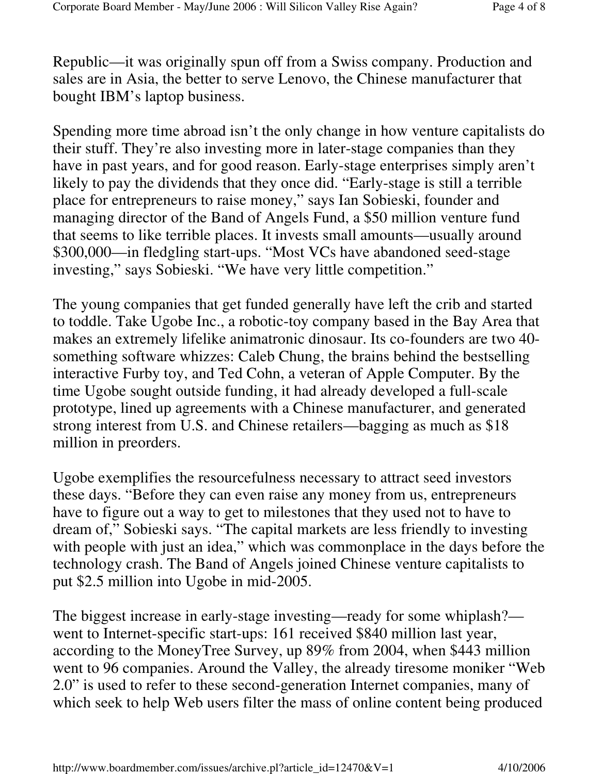Republic—it was originally spun off from a Swiss company. Production and sales are in Asia, the better to serve Lenovo, the Chinese manufacturer that bought IBM's laptop business.

Spending more time abroad isn't the only change in how venture capitalists do their stuff. They're also investing more in later-stage companies than they have in past years, and for good reason. Early-stage enterprises simply aren't likely to pay the dividends that they once did. "Early-stage is still a terrible place for entrepreneurs to raise money," says Ian Sobieski, founder and managing director of the Band of Angels Fund, a \$50 million venture fund that seems to like terrible places. It invests small amounts—usually around \$300,000—in fledgling start-ups. "Most VCs have abandoned seed-stage investing," says Sobieski. "We have very little competition."

The young companies that get funded generally have left the crib and started to toddle. Take Ugobe Inc., a robotic-toy company based in the Bay Area that makes an extremely lifelike animatronic dinosaur. Its co-founders are two 40 something software whizzes: Caleb Chung, the brains behind the bestselling interactive Furby toy, and Ted Cohn, a veteran of Apple Computer. By the time Ugobe sought outside funding, it had already developed a full-scale prototype, lined up agreements with a Chinese manufacturer, and generated strong interest from U.S. and Chinese retailers—bagging as much as \$18 million in preorders.

Ugobe exemplifies the resourcefulness necessary to attract seed investors these days. "Before they can even raise any money from us, entrepreneurs have to figure out a way to get to milestones that they used not to have to dream of," Sobieski says. "The capital markets are less friendly to investing with people with just an idea," which was commonplace in the days before the technology crash. The Band of Angels joined Chinese venture capitalists to put \$2.5 million into Ugobe in mid-2005.

The biggest increase in early-stage investing—ready for some whiplash? went to Internet-specific start-ups: 161 received \$840 million last year, according to the MoneyTree Survey, up 89% from 2004, when \$443 million went to 96 companies. Around the Valley, the already tiresome moniker "Web 2.0" is used to refer to these second-generation Internet companies, many of which seek to help Web users filter the mass of online content being produced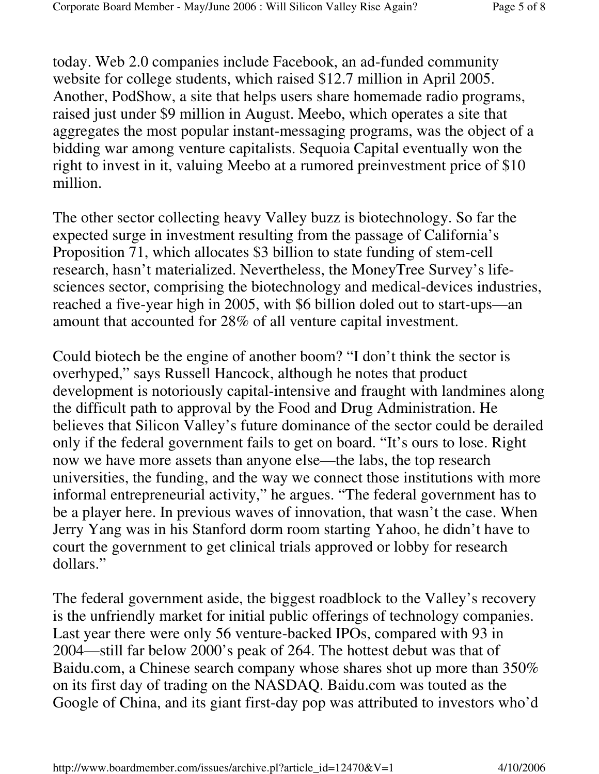today. Web 2.0 companies include Facebook, an ad-funded community website for college students, which raised \$12.7 million in April 2005. Another, PodShow, a site that helps users share homemade radio programs, raised just under \$9 million in August. Meebo, which operates a site that aggregates the most popular instant-messaging programs, was the object of a bidding war among venture capitalists. Sequoia Capital eventually won the right to invest in it, valuing Meebo at a rumored preinvestment price of \$10 million.

The other sector collecting heavy Valley buzz is biotechnology. So far the expected surge in investment resulting from the passage of California's Proposition 71, which allocates \$3 billion to state funding of stem-cell research, hasn't materialized. Nevertheless, the MoneyTree Survey's lifesciences sector, comprising the biotechnology and medical-devices industries, reached a five-year high in 2005, with \$6 billion doled out to start-ups—an amount that accounted for 28% of all venture capital investment.

Could biotech be the engine of another boom? "I don't think the sector is overhyped," says Russell Hancock, although he notes that product development is notoriously capital-intensive and fraught with landmines along the difficult path to approval by the Food and Drug Administration. He believes that Silicon Valley's future dominance of the sector could be derailed only if the federal government fails to get on board. "It's ours to lose. Right now we have more assets than anyone else—the labs, the top research universities, the funding, and the way we connect those institutions with more informal entrepreneurial activity," he argues. "The federal government has to be a player here. In previous waves of innovation, that wasn't the case. When Jerry Yang was in his Stanford dorm room starting Yahoo, he didn't have to court the government to get clinical trials approved or lobby for research dollars."

The federal government aside, the biggest roadblock to the Valley's recovery is the unfriendly market for initial public offerings of technology companies. Last year there were only 56 venture-backed IPOs, compared with 93 in 2004—still far below 2000's peak of 264. The hottest debut was that of Baidu.com, a Chinese search company whose shares shot up more than 350% on its first day of trading on the NASDAQ. Baidu.com was touted as the Google of China, and its giant first-day pop was attributed to investors who'd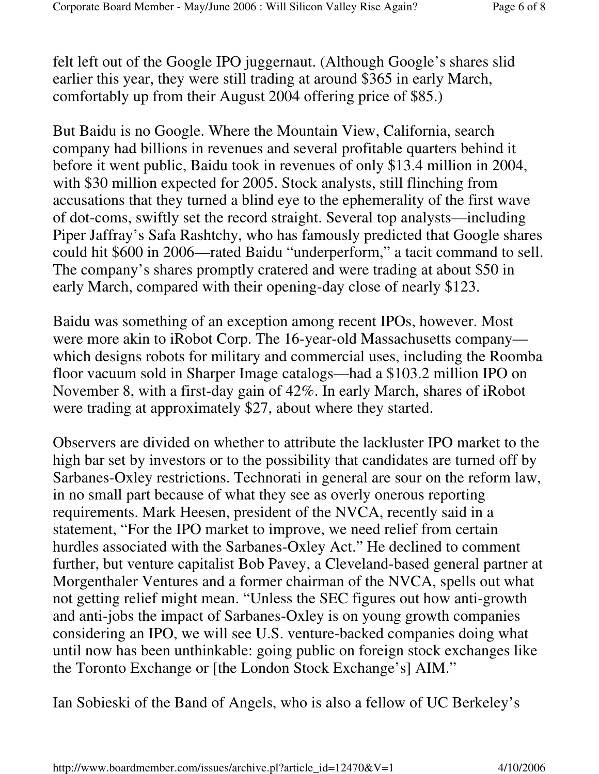felt left out of the Google IPO juggernaut. (Although Google's shares slid earlier this year, they were still trading at around \$365 in early March, comfortably up from their August 2004 offering price of \$85.)

But Baidu is no Google. Where the Mountain View, California, search company had billions in revenues and several profitable quarters behind it before it went public, Baidu took in revenues of only \$13.4 million in 2004, with \$30 million expected for 2005. Stock analysts, still flinching from accusations that they turned a blind eye to the ephemerality of the first wave of dot-coms, swiftly set the record straight. Several top analysts—including Piper Jaffray's Safa Rashtchy, who has famously predicted that Google shares could hit \$600 in 2006—rated Baidu "underperform," a tacit command to sell. The company's shares promptly cratered and were trading at about \$50 in early March, compared with their opening-day close of nearly \$123.

Baidu was something of an exception among recent IPOs, however. Most were more akin to iRobot Corp. The 16-year-old Massachusetts company which designs robots for military and commercial uses, including the Roomba floor vacuum sold in Sharper Image catalogs—had a \$103.2 million IPO on November 8, with a first-day gain of 42%. In early March, shares of iRobot were trading at approximately \$27, about where they started.

Observers are divided on whether to attribute the lackluster IPO market to the high bar set by investors or to the possibility that candidates are turned off by Sarbanes-Oxley restrictions. Technorati in general are sour on the reform law, in no small part because of what they see as overly onerous reporting requirements. Mark Heesen, president of the NVCA, recently said in a statement, "For the IPO market to improve, we need relief from certain hurdles associated with the Sarbanes-Oxley Act." He declined to comment further, but venture capitalist Bob Pavey, a Cleveland-based general partner at Morgenthaler Ventures and a former chairman of the NVCA, spells out what not getting relief might mean. "Unless the SEC figures out how anti-growth and anti-jobs the impact of Sarbanes-Oxley is on young growth companies considering an IPO, we will see U.S. venture-backed companies doing what until now has been unthinkable: going public on foreign stock exchanges like the Toronto Exchange or [the London Stock Exchange's] AIM."

Ian Sobieski of the Band of Angels, who is also a fellow of UC Berkeley's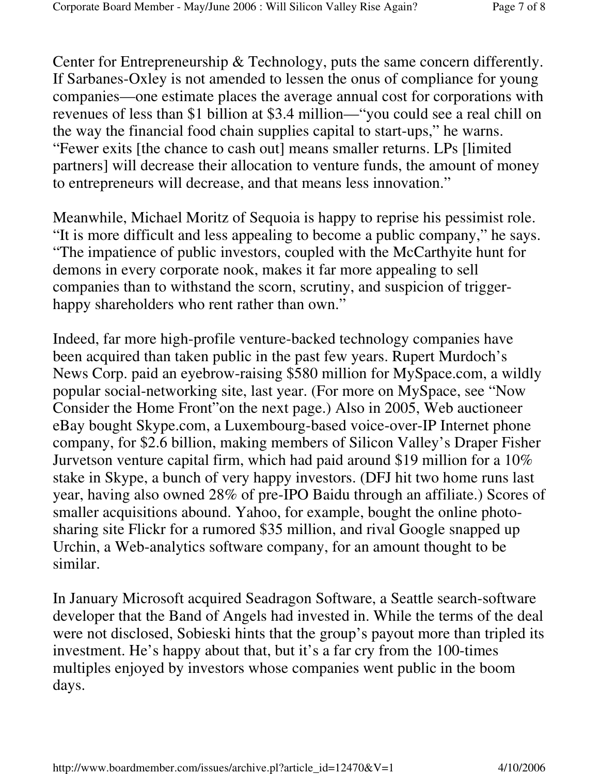Center for Entrepreneurship & Technology, puts the same concern differently. If Sarbanes-Oxley is not amended to lessen the onus of compliance for young companies—one estimate places the average annual cost for corporations with revenues of less than \$1 billion at \$3.4 million—"you could see a real chill on the way the financial food chain supplies capital to start-ups," he warns. "Fewer exits [the chance to cash out] means smaller returns. LPs [limited partners] will decrease their allocation to venture funds, the amount of money to entrepreneurs will decrease, and that means less innovation."

Meanwhile, Michael Moritz of Sequoia is happy to reprise his pessimist role. "It is more difficult and less appealing to become a public company," he says. "The impatience of public investors, coupled with the McCarthyite hunt for demons in every corporate nook, makes it far more appealing to sell companies than to withstand the scorn, scrutiny, and suspicion of triggerhappy shareholders who rent rather than own."

Indeed, far more high-profile venture-backed technology companies have been acquired than taken public in the past few years. Rupert Murdoch's News Corp. paid an eyebrow-raising \$580 million for MySpace.com, a wildly popular social-networking site, last year. (For more on MySpace, see "Now Consider the Home Front"on the next page.) Also in 2005, Web auctioneer eBay bought Skype.com, a Luxembourg-based voice-over-IP Internet phone company, for \$2.6 billion, making members of Silicon Valley's Draper Fisher Jurvetson venture capital firm, which had paid around \$19 million for a 10% stake in Skype, a bunch of very happy investors. (DFJ hit two home runs last year, having also owned 28% of pre-IPO Baidu through an affiliate.) Scores of smaller acquisitions abound. Yahoo, for example, bought the online photosharing site Flickr for a rumored \$35 million, and rival Google snapped up Urchin, a Web-analytics software company, for an amount thought to be similar.

In January Microsoft acquired Seadragon Software, a Seattle search-software developer that the Band of Angels had invested in. While the terms of the deal were not disclosed, Sobieski hints that the group's payout more than tripled its investment. He's happy about that, but it's a far cry from the 100-times multiples enjoyed by investors whose companies went public in the boom days.